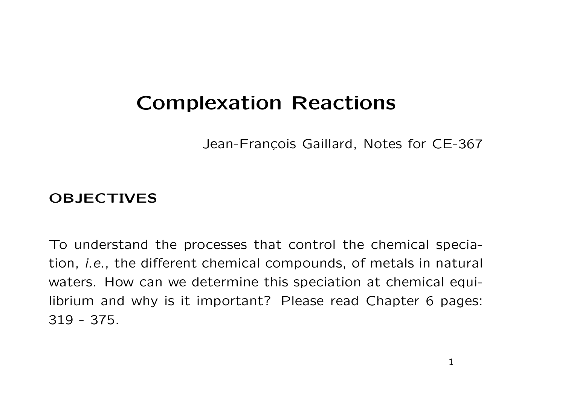# **Complexation Reactions**

Jean-François Gaillard, Notes for CE-367

## **OBJECTIVES**

To understand the processes that control the chemical speciation, i.e., the different chemical compounds, of metals in natural waters. How can we determine this speciation at chemical equilibrium and why is it important? Please read Chapter 6 pages: 319 - 375.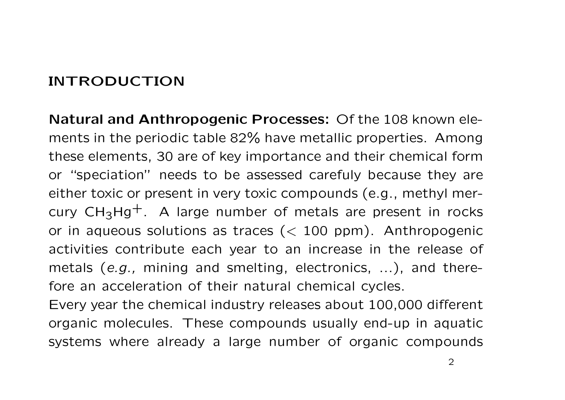# **INTRODUCTION**

**Natural and Anthropogenic Processes:** Of the 108 known elements in the periodic table 82% have metallic properties. Among these elements, 30 are of key importance and their chemical form or "speciation" needs to be assessed carefuly because they are either toxic or present in very toxic compounds (e.g., methyl mercury  $CH_3Hg^+$ . A large number of metals are present in rocks or in aqueous solutions as traces  $(< 100$  ppm). Anthropogenic activities contribute each year to an increase in the release of metals (e.g., mining and smelting, electronics, ...), and therefore an acceleration of their natural chemical cycles.

Every year the chemical industry releases about 100,000 different organic molecules. These compounds usually end-up in aquatic systems where already <sup>a</sup> large number of organic compounds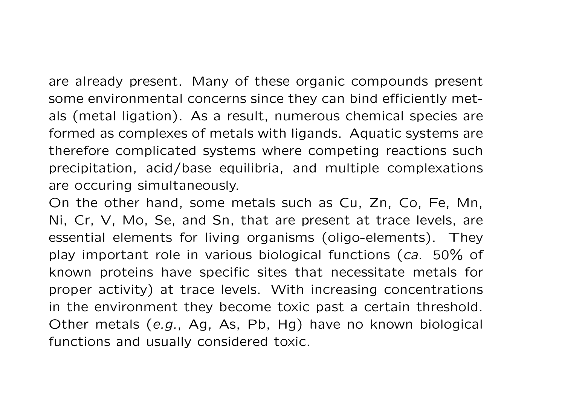are already present. Many of these organic compounds present some environmental concerns since they can bind efficiently metals (metal ligation). As <sup>a</sup> result, numerous chemical species are formed as complexes of metals with ligands. Aquatic systems are therefore complicated systems where competing reactions such precipitation, acid/base equilibria, and multiple complexations are occuring simultaneously.

On the other hand, some metals such as Cu, Zn, Co, Fe, Mn, Ni, Cr, V, Mo, Se, and Sn, that are present at trace levels, are essential elements for living organisms (oligo-elements). They play important role in various biological functions (ca. 50% of known proteins have specific sites that necessitate metals for proper activity) at trace levels. With increasing concentrations in the environment they become toxic past <sup>a</sup> certain threshold. Other metals (e.g., Ag, As, Pb, Hg) have no known biological functions and usually considered toxic.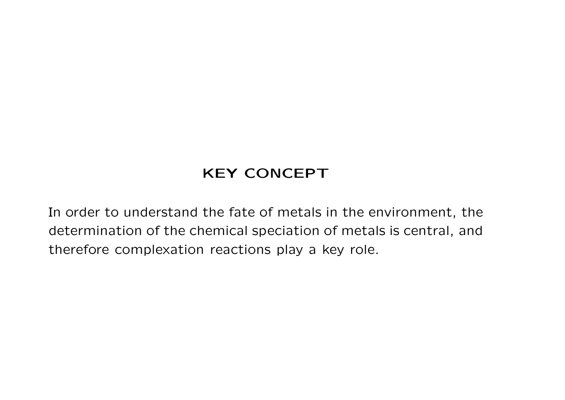# **KEY CONCEPT**

In order to understand the fate of metals in the environment, the determination of the chemical speciation of metals is central, and therefore complexation reactions play <sup>a</sup> key role.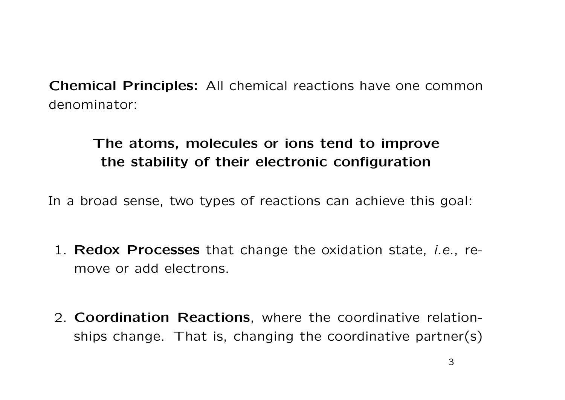**Chemical Principles:** All chemical reactions have one common denominator:

# **The atoms, molecules or ions tend to improve the stability of their electronic configuration**

In <sup>a</sup> broad sense, two types of reactions can achieve this goal:

- 1. **Redox Processes** that change the oxidation state, i.e., remove or add electrons.
- 2. **Coordination Reactions**, where the coordinative relationships change. That is, changing the coordinative partner(s)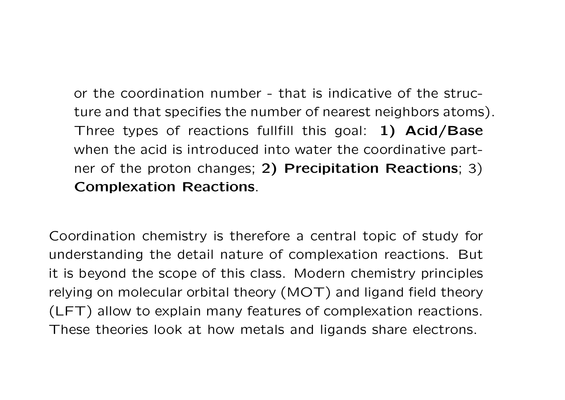or the coordination number - that is indicative of the structure and that specifies the number of nearest neighbors atoms). Three types of reactions fullfill this goal: **1) Acid/Base** when the acid is introduced into water the coordinative partner of the proton changes; **2) Precipitation Reactions**; 3) **Complexation Reactions**.

Coordination chemistry is therefore <sup>a</sup> central topic of study for understanding the detail nature of complexation reactions. But it is beyond the scope of this class. Modern chemistry principles relying on molecular orbital theory (MOT) and ligand field theory (LFT) allow to explain many features of complexation reactions. These theories look at how metals and ligands share electrons.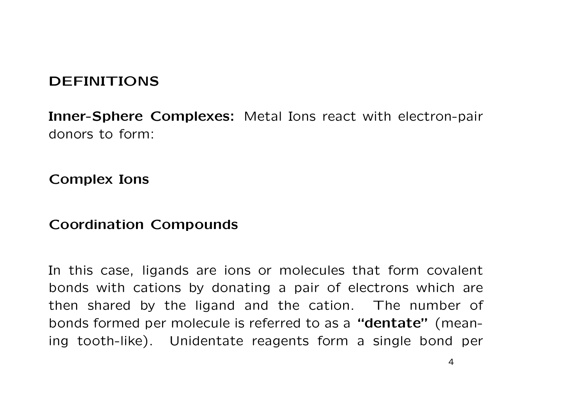## **DEFINITIONS**

**Inner-Sphere Complexes:** Metal Ions react with electron-pair donors to form:

**Complex Ions**

#### **Coordination Compounds**

In this case, ligands are ions or molecules that form covalent bonds with cations by donating <sup>a</sup> pair of electrons which are then shared by the ligand and the cation. The number of bonds formed per molecule is referred to as <sup>a</sup> **"dentate"** (meaning tooth-like). Unidentate reagents form <sup>a</sup> single bond per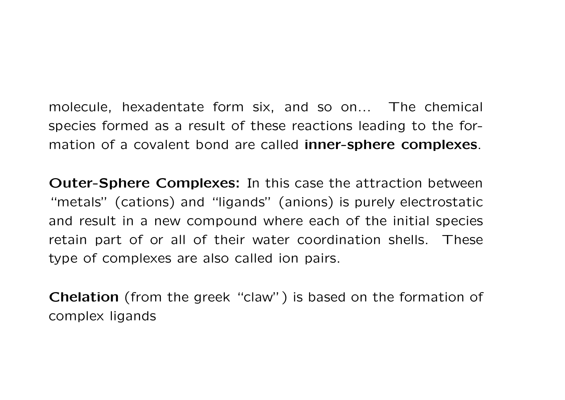molecule, hexadentate form six, and so on... The chemical species formed as <sup>a</sup> result of these reactions leading to the formation of <sup>a</sup> covalent bond are called **inner-sphere complexes**.

**Outer-Sphere Complexes:** In this case the attraction between "metals" (cations) and "ligands" (anions) is purely electrostatic and result in <sup>a</sup> new compound where each of the initial species retain part of or all of their water coordination shells. These type of complexes are also called ion pairs.

**Chelation** (from the greek "claw") is based on the formation of complex ligands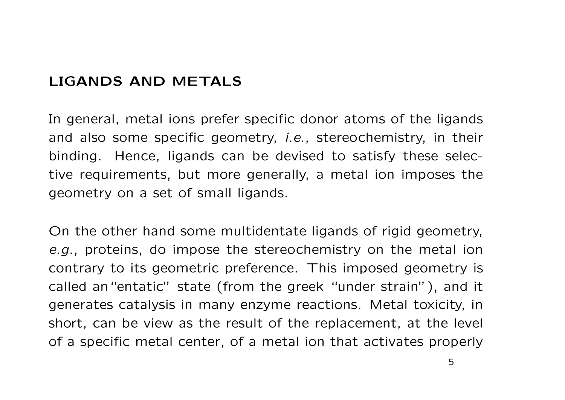### **LIGANDS AND METALS**

In general, metal ions prefer specific donor atoms of the ligands and also some specific geometry, i.e., stereochemistry, in their binding. Hence, ligands can be devised to satisfy these selective requirements, but more generally, <sup>a</sup> metal ion imposes the geometry on <sup>a</sup> set of small ligands.

On the other hand some multidentate ligands of rigid geometry, e.g., proteins, do impose the stereochemistry on the metal ion contrary to its geometric preference. This imposed geometry is called an"entatic" state (from the greek "under strain"), and it generates catalysis in many enzyme reactions. Metal toxicity, in short, can be view as the result of the replacement, at the level of <sup>a</sup> specific metal center, of <sup>a</sup> metal ion that activates properly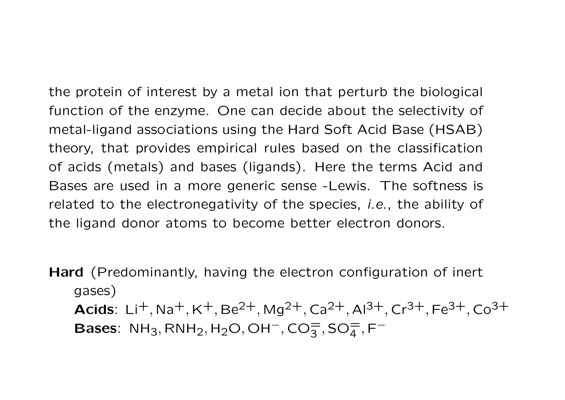the protein of interest by <sup>a</sup> metal ion that perturb the biological function of the enzyme. One can decide about the selectivity of metal-ligand associations using the Hard Soft Acid Base (HSAB) theory, that provides empirical rules based on the classification of acids (metals) and bases (ligands). Here the terms Acid and Bases are used in <sup>a</sup> more generic sense -Lewis. The softness is related to the electronegativity of the species, *i.e.*, the ability of the ligand donor atoms to become better electron donors.

**Hard** (Predominantly, having the electron configuration of inert gases) **Acids**: Li<sup>+</sup>,Na<sup>+</sup>,K<sup>+</sup>,Be<sup>2+</sup>,Mg<sup>2+</sup>,Ca<sup>2+</sup>,Al<sup>3+</sup>,Cr<sup>3+</sup>,Fe<sup>3+</sup>,Co<sup>3+</sup> **Bases**:  $\mathsf{NH}_3, \mathsf{RNH}_2, \mathsf{H}_2\mathsf{O}, \mathsf{OH}^-, \mathsf{CO}_3^=,\mathsf{SO}_4^=,\mathsf{F}^-$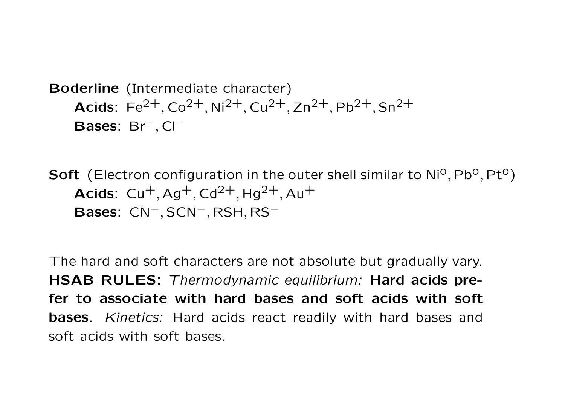```
Boderline (Intermediate character)
Acids: Fe^{2+}, Co^{2+}, Ni<sup>2+</sup>, Cu<sup>2+</sup>, Zn<sup>2+</sup>, Pb<sup>2+</sup>, Sn<sup>2+</sup>
Bases: Br−, Cl−
```
**Soft** (Electron configuration in the outer shell similar to Ni<sup>o</sup>, Pb<sup>o</sup>, Pt<sup>o</sup>) **Acids**:  $Cu^{+}$ , Ag<sup>+</sup>, Cd<sup>2+</sup>, Hg<sup>2+</sup>, Au<sup>+</sup> **Bases**: CN<sup>−</sup>, SCN<sup>−</sup>, RSH, RS<sup>−</sup>

The hard and soft characters are not absolute but gradually vary. **HSAB RULES:** Thermodynamic equilibrium: **Hard acids prefer to associate with hard bases and soft acids with soft bases**. Kinetics: Hard acids react readily with hard bases and soft acids with soft bases.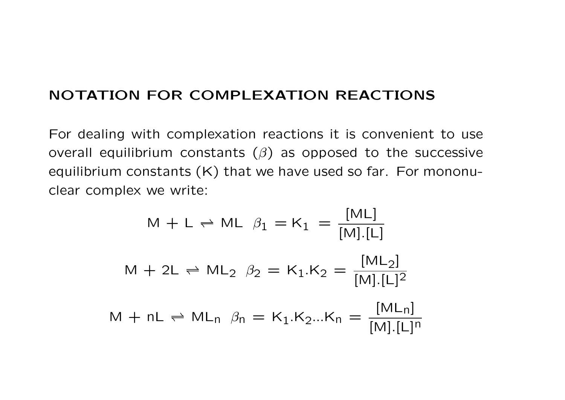#### **NOTATION FOR COMPLEXATION REACTIONS**

For dealing with complexation reactions it is convenient to use overall equilibrium constants  $(\beta)$  as opposed to the successive equilibrium constants (K) that we have used so far. For mononuclear complex we write:

$$
M + L \rightleftharpoons ML \beta_1 = K_1 = \frac{[ML]}{[M][L]}
$$
  

$$
M + 2L \rightleftharpoons ML_2 \beta_2 = K_1.K_2 = \frac{[ML_2]}{[M][L]^2}
$$
  

$$
M + nL \rightleftharpoons ML_n \beta_n = K_1.K_2...K_n = \frac{[ML_n]}{[M][L]^n}
$$